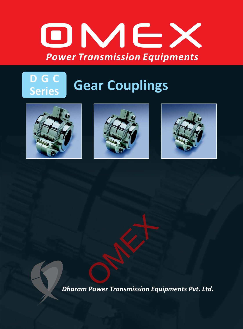

# **D G C Gear Couplings**







*Dharam Power Transmission Equipments Pvt. Ltd.* OMEX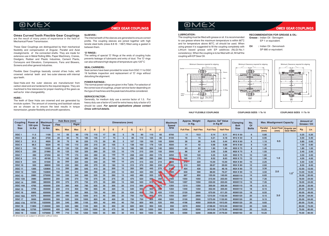### **OMEX GEAR COUPLINGS**

These Gear Couplings are distinguished by their mechanical flexibility and compensation of Angular, Parallel and Axial misalignments of the connected shafts. They are made for extensive use in Metal Rolling Mills, Paper Machinery, Cranes, Dredgers, Rubber and Plastic Industries, Cement Plants, Conveyors and Elevators, Compressors, Fans and Blowers, Screens and other general industries.

Flexible Gear Couplings basically consist of two hubs, with crowned external teeth and two outer sleeves with internal spur teeth.

The setting of special 'O' Rings at the ends of coupling hubs prevents leakage of lubricants and entry of dust. The 'O' rings can also withstand high degree of temperature upto 120 $^{\circ}$  C

Gear Hubs and the outer sleeves are manufactured from carbon steel and are hardened to the required degree. They are machined to fine tolerances for proper meshing of the gears as well as for inter-changeability.

#### **HUBS :**

The teeth of Gear Hubs are crowned and are generated by involute system. The amount of crowning and backlash values are so chosen as to ensure the best results in torque transmission, greaterflexibility and smooth operations.

#### **SLEEVES :**

#### **'O' RINGS:**

The internal teeth of the sleeves are generated to ensure correct profile. The coupling sleeves are joined together with high tensile steel bolts (class 8.8 IS : 1367) fitted using a gasket in between them.

#### **SEAL CARRIERS :**

#### **POWER RATINGS:**

#### **SERVICE FACTOR :**

Seal carriers have been provided for sizes from DGC 11 to DGC 19 facilitate inspection and replacement of 'O' rings without disturbing the alignment.

The normal powerratings are given in the Table. For selection of the correct size of couplings, proper service factor depending on the type of machines and the peak load should be considered.

Generally, for medium duty use a service factor of 1.5. For heavy duty use a factor of 2 and for extra heavy duty a factor of 3 should be used. *For special applications please contact Omex with full details.*



*All dimensions are subject to alteration without notice.*

| <b>Coupling</b><br>No/<br><b>Size</b> | <b>Power</b> at<br><b>100 rpm</b><br>in Kw | <b>Maximum</b><br><b>Torque</b><br>in Nm | Hub Bore (mm)<br><b>Rigid</b><br><b>Flex</b> |            |            | <b>Dimensions (mm)</b> |              |    |     |                 |     |                |      |     | <b>Maximum</b><br><b>Speed</b> | <b>Approx. Weight</b><br>in Kg. |                  | Approx. Gd <sup>2</sup> Value<br>in $Kg M^2$ |                  | <b>Clamping</b><br><b>Bolt</b> | No.<br>Of    | <b>Max. Misalignment Capacity</b> |                            |                                        | <b>Amount of</b><br>Grease / Oil |       |
|---------------------------------------|--------------------------------------------|------------------------------------------|----------------------------------------------|------------|------------|------------------------|--------------|----|-----|-----------------|-----|----------------|------|-----|--------------------------------|---------------------------------|------------------|----------------------------------------------|------------------|--------------------------------|--------------|-----------------------------------|----------------------------|----------------------------------------|----------------------------------|-------|
|                                       |                                            |                                          | Min.                                         | <b>Max</b> | <b>Max</b> |                        | <sub>B</sub> | D  | E   |                 | G   | G <sub>1</sub> |      | J.  | <b>RPM</b>                     | <b>Full Flex</b>                | <b>Half Flex</b> | <b>Full Flex</b>                             | <b>Half Flex</b> | <b>Size</b>                    | <b>Bolts</b> | <b>Parallel</b><br>(mm)           | <b>Axial Float</b><br>(mm) | <b>Angular per</b><br><b>Gear Mesh</b> | Kg.                              | Ltr.  |
| DGC <sub>1</sub>                      | 11.5                                       | 1100                                     | 14                                           | 55         | 60         | 170                    | 115          | 17 | 55  | 5 <sup>5</sup>  | 78  | 90             | 110  | 65  | 6700                           | 11                              | 10.5             | 0.14                                         | 0.11             | M12 X 50                       |              | 0.80                              |                            |                                        | 0.25                             | 0.20  |
| DGC <sub>2</sub>                      | 28.5                                       | 2720                                     | 20                                           | 60         | 75         | 185                    | 145          | 17 | 70  | 5 <sup>5</sup>  | 85  | 110            | 125  | 85  | 6100                           | 16                              | 15               | 0.21                                         | 0.18             | M12 X 50                       |              | 0.95                              |                            |                                        | 0.50                             | 0.40  |
| DGC <sub>3</sub>                      | 51.5                                       | 4920                                     | 30                                           | 75         | 90         | 220                    | 175          | 20 | 85  | 5 <sup>5</sup>  | 107 | 130            | 150  | 105 | 5200                           | 26                              | 26               | 0.45                                         | 0.44             | M16 X 60                       |              | 1.10                              | 0.5<br>1.0                 |                                        | 0.80                             | 0.60  |
| DGC <sub>4</sub>                      | 96.5                                       | 9220                                     | 40                                           | 100        | 110        | 250                    | 215          | 20 | 105 | $5\overline{5}$ | 138 | 160            | 178  | 125 | 4500                           | 41                              | 42               | 0.98                                         | 0.88             | M16 X 60                       |              | 1.30                              |                            |                                        | 1.00                             | 0.80  |
| DGC <sub>5</sub>                      | 150                                        | 14320                                    | 46                                           | 120        | 130        | 290                    | 240          | 25 | 115 | 10 <sup>°</sup> | 166 | 185            | 204  | 140 | 3950                           | 63                              | 63               | 1.90                                         | 1.90             | M20 X 75                       |              | 1.45                              |                            |                                        | 1.80                             | 1.50  |
| DGC <sub>6</sub>                      | 230                                        | 21960                                    | 50                                           | 125        | 150        | 320                    | 260          | 25 | 125 | 10 <sup>°</sup> | 176 | 215            | 230  | 155 | 3500                           | 86                              | 87               | 3.05                                         | 3.06             | M20 X 75                       |              | 1.55                              |                            |                                        | 2.40                             | 2.00  |
| DGC <sub>7</sub>                      | 390                                        | 37250                                    | 60                                           | 145        | 170        | 350                    | 290          | 25 | 140 | 10 <sup>1</sup> | 208 | 240            | 260  | 175 | 3250                           | 120                             | 120              | 5.25                                         | 5.20             | M20 X 75                       | 10           | 1.80                              |                            |                                        | 3.50                             | 3.00  |
| DGC <sub>8</sub>                      | 515                                        | 49180                                    | 70                                           | 165        | 200        | 380                    | 330          | 25 | 160 | 10 <sup>°</sup> | 230 | 285            | 290  | 200 | 3000                           | 165                             | 170              | 8.52                                         | 8.63             | M20 X 75                       | 12           | 1.90                              |                            |                                        | 4.00                             | 4.00  |
| DGC <sub>9</sub>                      | 644                                        | 61500                                    | 80                                           | 200        | 220        | 430                    | 340          | 25 | 165 | 10 <sub>1</sub> | 270 | 315            | 332  | 210 | 2600                           | 210                             | 220              | 15.00                                        | 15.00            | M24 X 80                       | 10           | 2.25                              |                            |                                        | 5.50                             | 5.00  |
| <b>DGC 10</b>                         | 930                                        | 88800                                    | 100                                          | 230        | 260        | 490                    | 370          | 25 | 180 | 10 <sup>1</sup> | 315 | 370            | 390  | 230 | 2300                           | 310                             | 320              | 28.67                                        | 29.00            | M24 X 80                       | 12           | 2.60                              |                            |                                        | 8.50                             | 8.00  |
| <b>DGC 11</b>                         | 1265                                       | 120800                                   | 110                                          | 260        | 280        | 545                    | 410          | 30 | 200 | 10 <sup>°</sup> | 350 | 380            | 445  | 270 | 2100                           | 454                             | 430              | 52.00                                        | 46.18            | M24 X 90                       | 12           | 3.30                              | 2.0                        | $1.5^\circ$                            | 12.50                            | 12.00 |
| <b>DGC 12</b>                         | 1600                                       | 152800                                   | 150                                          | 300        | 310        | 590                    | 490          | 30 | 240 | 10 <sub>1</sub> | 404 | 420            | 490  | 300 | 1900                           | 630                             | 590              | 88.60                                        | 76.57            | M24 X 90                       | 14           | 3.50                              |                            |                                        | 14.00                            | 16.00 |
| <b>DGC 13</b>                         | 2880                                       | 275000                                   | 160                                          | 330        | 340        | 680                    | 535          | 35 | 260 | 15              | 442 | 480            | 555  | 320 | 1550                           | 887                             | 850              | 155.00                                       | 140.00           | M30X110                        | 14           | 6.65                              |                            |                                        | 16.00                            | 20.00 |
| <b>DGC 13A</b>                        | 3980                                       | 380000                                   | 200                                          | 340        | 370        | 730                    | 575          | 35 | 275 | 25              | 470 | 520            | 595  | 350 | 1400                           | 1050                            | 1050             | 215.00                                       | 203.00           | M30X110                        | 16           | 7.35                              | 3.0                        |                                        | 18.00                            | 24.00 |
| <b>DGC 14</b>                         | 3980                                       | 380000                                   | 200                                          | 370        | 370        | 730                    | 575          | 35 | 280 | 15 <sub>1</sub> | 500 | 520            | 610  | 340 | 1400                           | 1097                            | 1050             | 230.00                                       | 203.00           | M30X110                        | 16           | 7.35                              |                            |                                        | 18.00                            | 24.00 |
| <b>DGC 14A</b>                        | 4765                                       | 455000                                   | 230                                          | 360        | 400        | 780                    | 635          | 35 | 305 | 25              | 510 | 560            | 640  | 375 | 1350                           | 1310                            | 1350             | 300.00                                       | 305.00           | M30X110                        | 18           | 8.15                              |                            |                                        | 25.00                            | 33.00 |
| <b>DGC 15</b>                         | 4765                                       | 455000                                   | 230                                          | 410        | 400        | 780                    | 655          | 40 | 320 | 15              | 540 | 560            | 660  | 385 | 1350                           | 1440                            | 1350             | 352.00                                       | 305.00           | M30X110                        | 18           | 8.15                              |                            |                                        | 25.00                            | 33.00 |
| <b>DGC 16</b>                         | 6800                                       | 650000                                   | 260                                          | 450        | 460        | 900                    | 720          | 40 | 350 | 25              | 630 | 650            | 750  | 425 | 1150                           | 2120                            | 2000             | 670.00                                       | 611.20           | M36X120                        | 18           | 8.55                              |                            |                                        | 40.00                            | 49.00 |
| <b>DGC 16A</b>                        | 8375                                       | 800000                                   | 300                                          | 490        | 530        | 1000                   | 815          | 40 | 395 | 25              | 700 | 750            | 855  | 470 | 1050                           | 3057                            | 2900             | 1210.00                                      | 1132.00          | M36X120                        | 20           | 9.15                              |                            |                                        | 55.00                            | 64.00 |
| <b>DGC 17</b>                         | 9000                                       | 850000                                   | 300                                          | 520        | 530        | 1000                   | 820          | 40 | 400 | 20              | 720 | 750            | 855  | 490 | 1050                           | 3100                            | 2900             | 1275.00                                      | 1132.00          | M36X120                        | 20           | 9.15                              |                            |                                        | 55.00                            | 64.00 |
| <b>DGC 17A</b>                        | 10730                                      | 1025000                                  | 320                                          | 540        | 580        | 1100                   | 920          | 40 | 440 | 40              | 750 | 820            | 955  | 525 | 950                            | 4196                            | 4050             | 2030.00                                      | 1913.00          | M36X120                        | 20           | 9.65                              |                            |                                        | 60.00                            | 72.00 |
| <b>DGC 18</b>                         | 11800                                      | 1120000                                  | 320                                          | 620        | 580        | 1100                   | 920          | 55 | 450 | 20              | 820 | 820            | 950  | 535 | 950                            | 4370                            | 4050             | 2198.00                                      | 1913.00          | M36X150                        | 20           | 9.65                              |                            |                                        | 60.00                            | 72.00 |
| <b>DGC 18A</b>                        | 12700                                      | 1200000                                  | 400                                          | 600        | 700        | 1250                   | 1000         | 55 | 475 | 50              | 840 | 920            | 1050 | 560 | 825                            | 5430                            | 5200             | 3410.00                                      | 3179.00          | M48X160                        | 20           | 10.25                             |                            |                                        | 70.00                            | 80.00 |
| <b>DGC 19</b>                         | 15500                                      | 1470000                                  | 400                                          | 710        | 700        | 1250                   | 1000         | 55 | 485 | 30              | 915 | 920            | 1050 | 560 | 825                            | 5590                            | 5200             | 3588.00                                      | 3179.00          | M48X160                        | 20           | 10.25                             |                            |                                        | 70.00                            | 80.00 |

#### **LUBRICATION :**

The coupling must be filled with grease or oil. It is recommended to use grease where the maximum temperature is within 80 $^{\circ}\textrm{C}$ and for temperature above 80 $^{\circ}$ C, oil should be used. When using grease it is suggested to fill the coupling completely with Lithium based grease with EP additives (NLGI-No.1 consistency). When the coupling is to be filled with oil, fill half the coupling with EP Gear Oil.

**RECOMMENDATION FOR GREASE & OIL: Grease :** Indian Oil - Servogem

EP 1 or equivalent.

**Oil :** : Indian Oil - Servomesh SP 680 or equivalant.

**HALF FLEXIBLE COUPLINGS**



**COUPLINGS SIZES 1 To 10**



#### **COUPLINGS SIZES 11 To 19**



## **OMEX GEAR COUPLINGS**



#### **Omex Curved Tooth Flexible Gear Couplings** are the result of many years of experience in the field of

Mechanical Power Transmission.